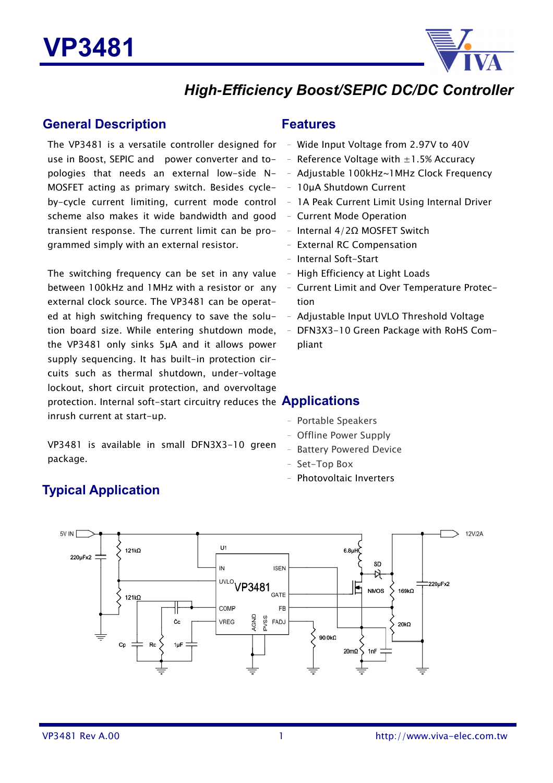

### *High***-***Efficiency Boost/SEPIC DC/DC Controller*

### **General Description**

The VP3481 is a versatile controller designed for – Wide Input Voltage from 2.97V to 40V use in Boost, SEPIC and power converter and topologies that needs an external low-side N-MOSFET acting as primary switch. Besides cycleby-cycle current limiting, current mode control scheme also makes it wide bandwidth and good transient response. The current limit can be programmed simply with an external resistor.

The switching frequency can be set in any value between 100kHz and 1MHz with a resistor or any external clock source. The VP3481 can be operated at high switching frequency to save the solution board size. While entering shutdown mode, the VP3481 only sinks 5µA and it allows power supply sequencing. It has built-in protection circuits such as thermal shutdown, under-voltage lockout, short circuit protection, and overvoltage protection. Internal soft-start circuitry reduces the **Applications** inrush current at start-up.

VP3481 is available in small DFN3X3-10 green package.

### **Features**

- 
- Reference Voltage with  $\pm 1.5\%$  Accuracy
- Adjustable 100kHz~1MHz Clock Frequency
- 10µA Shutdown Current
- 1A Peak Current Limit Using Internal Driver
- Current Mode Operation
- Internal 4/2Ω MOSFET Switch
- External RC Compensation
- Internal Soft-Start
- High Efficiency at Light Loads
- Current Limit and Over Temperature Protection
- Adjustable Input UVLO Threshold Voltage
- -10 Green Package with RoHS Compliant

- Portable Speakers
- Offline Power Supply
- Battery Powered Device
- Set-Top Box
- Photovoltaic Inverters



### **Typical Application**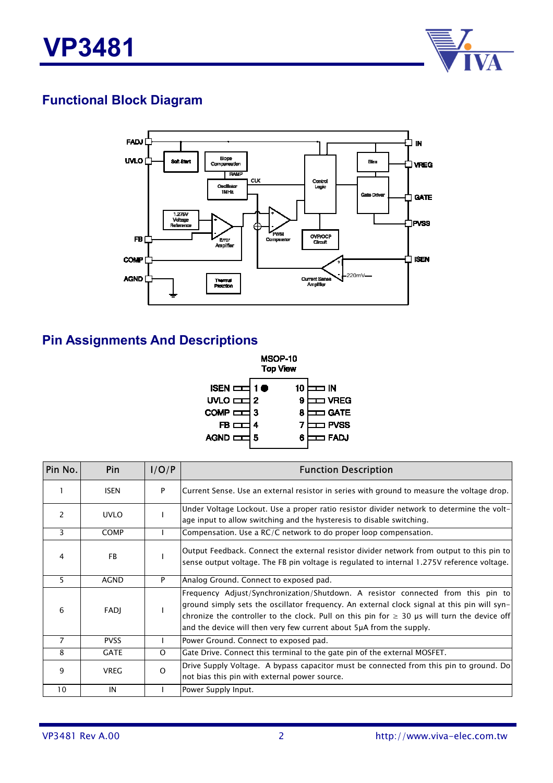

### **Functional Block Diagram**



### **Pin Assignments And Descriptions**



| Pin No.        | Pin         | I/O/P    | <b>Function Description</b>                                                                                                                                                                                                                                                                                                                                 |
|----------------|-------------|----------|-------------------------------------------------------------------------------------------------------------------------------------------------------------------------------------------------------------------------------------------------------------------------------------------------------------------------------------------------------------|
|                | <b>ISEN</b> | P        | Current Sense. Use an external resistor in series with ground to measure the voltage drop.                                                                                                                                                                                                                                                                  |
| $\mathcal{P}$  | <b>UVLO</b> |          | Under Voltage Lockout. Use a proper ratio resistor divider network to determine the volt-<br>age input to allow switching and the hysteresis to disable switching.                                                                                                                                                                                          |
| 3              | <b>COMP</b> |          | Compensation. Use a RC/C network to do proper loop compensation.                                                                                                                                                                                                                                                                                            |
| 4              | <b>FB</b>   |          | Output Feedback. Connect the external resistor divider network from output to this pin to<br>sense output voltage. The FB pin voltage is regulated to internal 1.275V reference voltage.                                                                                                                                                                    |
| 5              | <b>AGND</b> | P        | Analog Ground. Connect to exposed pad.                                                                                                                                                                                                                                                                                                                      |
| 6              | <b>FADJ</b> |          | Frequency Adjust/Synchronization/Shutdown. A resistor connected from this pin to<br>ground simply sets the oscillator frequency. An external clock signal at this pin will syn-<br>chronize the controller to the clock. Pull on this pin for $\geq$ 30 µs will turn the device off<br>and the device will then very few current about 5µA from the supply. |
| $\overline{7}$ | <b>PVSS</b> |          | Power Ground. Connect to exposed pad.                                                                                                                                                                                                                                                                                                                       |
| 8              | <b>GATE</b> | $\Omega$ | Gate Drive. Connect this terminal to the gate pin of the external MOSFET.                                                                                                                                                                                                                                                                                   |
| 9              | <b>VREG</b> | $\Omega$ | Drive Supply Voltage. A bypass capacitor must be connected from this pin to ground. Do<br>not bias this pin with external power source.                                                                                                                                                                                                                     |
| 10             | IN          |          | Power Supply Input.                                                                                                                                                                                                                                                                                                                                         |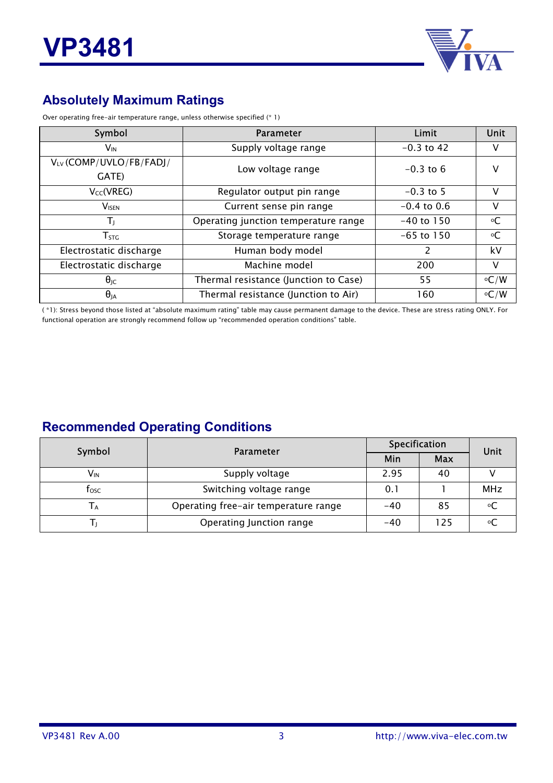

### **Absolutely Maximum Ratings**

Over operating free-air temperature range, unless otherwise specified (\* 1)

| Symbol                   | <b>Parameter</b>                      | Limit         | Unit        |
|--------------------------|---------------------------------------|---------------|-------------|
| $V_{\text{IN}}$          | Supply voltage range                  | $-0.3$ to 42  | v           |
| VLV (COMP/UVLO/FB/FADJ/  | Low voltage range                     | $-0.3$ to 6   | v           |
| GATE)                    |                                       |               |             |
| $V_{CC}(VREG)$           | Regulator output pin range            | $-0.3$ to 5   | V           |
| <b>V</b> <sub>ISEN</sub> | Current sense pin range               | $-0.4$ to 0.6 | V           |
| Tı,                      | Operating junction temperature range  | $-40$ to 150  | $\circ$ C   |
| ${\sf T}_{\mathsf{STG}}$ | Storage temperature range             | $-65$ to 150  | $\circ$ C   |
| Electrostatic discharge  | Human body model                      | $\mathcal{P}$ | kV          |
| Electrostatic discharge  | Machine model                         | 200           | V           |
| $\theta_{\text{JC}}$     | Thermal resistance (Junction to Case) | 55            | $\circ$ C/W |
| $\theta_{JA}$            | Thermal resistance (Junction to Air)  | 160           | $\circ$ C/W |

( \*1): Stress beyond those listed at "absolute maximum rating" table may cause permanent damage to the device. These are stress rating ONLY. For functional operation are strongly recommend follow up "recommended operation conditions" table.

### **Recommended Operating Conditions**

| Symbol          | Parameter                            | Specification | Unit       |            |
|-----------------|--------------------------------------|---------------|------------|------------|
|                 |                                      | Min           | <b>Max</b> |            |
| V <sub>in</sub> | Supply voltage                       | 2.95          | 40         |            |
| tosc            | Switching voltage range              | 0.1           |            | <b>MHz</b> |
| Tд              | Operating free-air temperature range | $-40$         | 85         |            |
|                 | Operating Junction range             | $-40$         | 125        |            |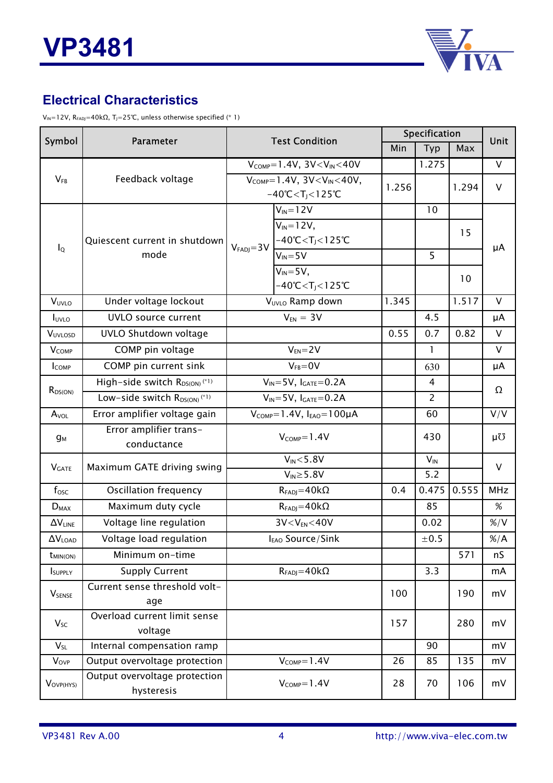

### **Electrical Characteristics**

 $V_{IN}$ =12V, R<sub>FADJ</sub>=40kΩ, T<sub>J</sub>=25℃, unless otherwise specified (\* 1)

| Symbol                   | <b>Parameter</b>                              | <b>Test Condition</b>                                                                |                                                                         | Specification |                |        | Unit           |
|--------------------------|-----------------------------------------------|--------------------------------------------------------------------------------------|-------------------------------------------------------------------------|---------------|----------------|--------|----------------|
|                          |                                               |                                                                                      |                                                                         | Min           | Typ            | Max    |                |
|                          |                                               |                                                                                      | $V_{COMP}=1.4V$ , $3V < V_{IN} < 40V$                                   |               | 1.275          |        | V              |
| $V_{FB}$                 | Feedback voltage                              | $V_{COMP}=1.4V$ , $3V < V_{IN} < 40V$ ,<br>$-40^{\circ}$ C < T <sub>J</sub> < 125 °C | 1.256                                                                   |               | 1.294          | $\vee$ |                |
|                          |                                               |                                                                                      | $\overline{V}_{IN}$ =12V                                                |               | 10             |        |                |
| $I_{\mathsf{Q}}$         | Quiescent current in shutdown                 | $VFADJ=3V$                                                                           | $V_{IN} = 12V$ ,<br>$-40^{\circ}$ C < T <sub>J</sub> < 125 $^{\circ}$ C |               |                | 15     | μA             |
|                          | mode                                          |                                                                                      | $V_{IN} = 5V$<br>$V_{IN} = 5V$ ,                                        |               | 5              |        |                |
|                          |                                               |                                                                                      | $-40^{\circ}$ C < T <sub>J</sub> < 125 $^{\circ}$ C                     |               |                | 10     |                |
| VUVLO                    | Under voltage lockout                         |                                                                                      | VUVLO Ramp down                                                         | 1.345         |                | 1.517  | V              |
| <b>I</b> UVLO            | <b>UVLO</b> source current                    |                                                                                      | $V_{EN} = 3V$                                                           |               | 4.5            |        | μA             |
| VUVLOSD                  | UVLO Shutdown voltage                         |                                                                                      |                                                                         | 0.55          | 0.7            | 0.82   | $\vee$         |
| <b>VCOMP</b>             | COMP pin voltage                              |                                                                                      | $V_{EN} = 2V$                                                           |               | $\mathbf{1}$   |        | V              |
| <b>ICOMP</b>             | COMP pin current sink                         |                                                                                      | $V_{FB} = 0V$                                                           |               | 630            |        | μA             |
| $R_{DS(ON)}$             | High-side switch $R_{DS(ON)}$ <sup>(*1)</sup> | $V_{IN} = 5V$ , $I_{GATE} = 0.2A$                                                    |                                                                         |               | 4              |        | Ω              |
|                          | Low-side switch $R_{DS(ON)}$ <sup>(*1)</sup>  | $V_{IN} = 5V$ , $I_{GATE} = 0.2A$                                                    |                                                                         |               | $\overline{2}$ |        |                |
| $A_{\text{VOL}}$         | Error amplifier voltage gain                  | $V_{COMP} = 1.4V$ , $I_{EAO} = 100\mu A$                                             |                                                                         |               | 60             |        | V/V            |
| $g_M$                    | Error amplifier trans-<br>conductance         | $V_{COMP}=1.4V$                                                                      |                                                                         |               | 430            |        | μÜ             |
| <b>V</b> GATE            | Maximum GATE driving swing                    | $V_{IN} < 5.8V$                                                                      |                                                                         |               | $V_{IN}$       |        | V              |
|                          |                                               |                                                                                      |                                                                         | 5.2           |                |        |                |
| $f_{\rm osc}$            | <b>Oscillation frequency</b>                  |                                                                                      | $R_{FADJ} = 40k\Omega$                                                  |               | 0.475          | 0.555  | <b>MHz</b>     |
| $D_{MAX}$                | Maximum duty cycle                            |                                                                                      | $R_{FADJ} = 40k\Omega$                                                  |               | 85             |        | %              |
| $\Delta V_{LINE}$        | Voltage line regulation                       |                                                                                      | $3V < V_{EN} < 40V$                                                     |               | 0.02           |        | $\% / V$       |
| $\Delta V_{\text{LOAD}}$ | Voltage load regulation                       |                                                                                      | I <sub>EAO</sub> Source/Sink                                            |               | ±0.5           |        | $\frac{\%}{A}$ |
| $t_{MIN(ON)}$            | Minimum on-time                               |                                                                                      |                                                                         |               |                | 571    | nS             |
| ISUPPLY                  | <b>Supply Current</b>                         | $R_{FADJ} = 40k\Omega$                                                               |                                                                         |               | 3.3            |        | mA             |
| <b>V</b> SENSE           | Current sense threshold volt-<br>age          |                                                                                      |                                                                         | 100           |                | 190    | mV             |
| $V_{SC}$                 | Overload current limit sense<br>voltage       |                                                                                      |                                                                         | 157           |                | 280    | mV             |
| $V_{SL}$                 | Internal compensation ramp                    |                                                                                      |                                                                         |               | 90             |        | mV             |
| $V_{\text{OVP}}$         | Output overvoltage protection                 |                                                                                      | 26                                                                      | 85            | 135            | mV     |                |
| VOVP(HYS)                | Output overvoltage protection<br>hysteresis   |                                                                                      | $V_{COMP}=1.4V$                                                         | 28            | 70             | 106    | mV             |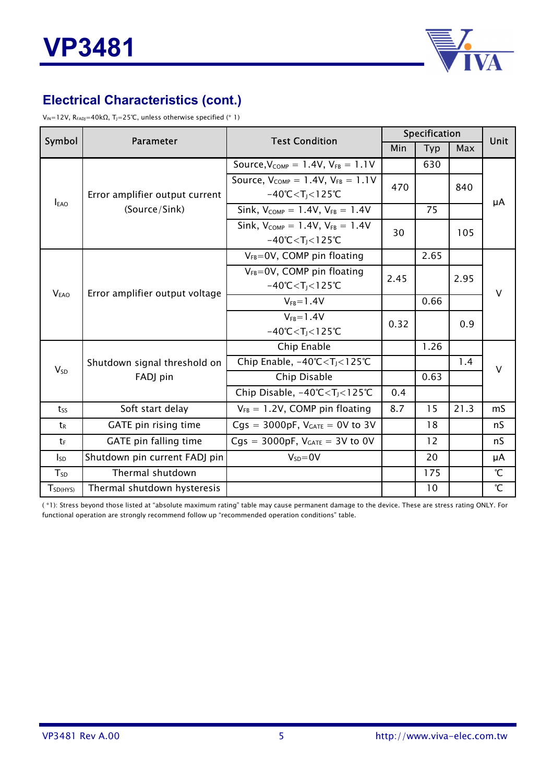

### **Electrical Characteristics (cont.)**

V<sub>IN</sub>=12V, R<sub>FADJ</sub>=40kΩ, T<sub>J</sub>=25°C, unless otherwise specified (\* 1)

| Symbol           | Parameter                      |                                                                                                                                                                                                                                                                                                                                                                                                                                                                                                                                                                                                                                                                                                                                                                                                                                                                          | Specification |     |      | <b>Unit</b>   |
|------------------|--------------------------------|--------------------------------------------------------------------------------------------------------------------------------------------------------------------------------------------------------------------------------------------------------------------------------------------------------------------------------------------------------------------------------------------------------------------------------------------------------------------------------------------------------------------------------------------------------------------------------------------------------------------------------------------------------------------------------------------------------------------------------------------------------------------------------------------------------------------------------------------------------------------------|---------------|-----|------|---------------|
|                  |                                | <b>Test Condition</b><br>Min<br>Typ<br>630<br>Source, $V_{COMP} = 1.4V$ , $V_{FB} = 1.1V$<br>Source, $V_{COMP} = 1.4V$ , $V_{FB} = 1.1V$<br>470<br>$-40^{\circ}$ C < T <sub>1</sub> < 125 $^{\circ}$ C<br>Sink, $V_{COMP} = 1.4V$ , $V_{FB} = 1.4V$<br>75<br>Sink, $V_{COMP} = 1.4V$ , $V_{FB} = 1.4V$<br>30<br>$-40^{\circ}$ C < T <sub>1</sub> < 125 $^{\circ}$ C<br>$V_{FB} = 0V$ , COMP pin floating<br>2.65<br>$V_{FB} = 0V$ , COMP pin floating<br>2.45<br>$-40^{\circ}$ C < T <sub>1</sub> < 125 $^{\circ}$ C<br>$V_{FB} = 1.4V$<br>0.66<br>$V_{FB} = 1.4V$<br>0.32<br>$-40^{\circ}$ C < T <sub>J</sub> < 125 $^{\circ}$ C<br>Chip Enable<br>1.26<br>Chip Enable, $-40^{\circ}$ C $<$ T <sub>J</sub> $<$ 125 $^{\circ}$ C<br>Chip Disable<br>0.63<br>Chip Disable, $-40^{\circ}C < T_1 < 125^{\circ}C$<br>0.4<br>8.7<br>$V_{FB} = 1.2V$ , COMP pin floating<br>15 | Max           |     |      |               |
|                  |                                |                                                                                                                                                                                                                                                                                                                                                                                                                                                                                                                                                                                                                                                                                                                                                                                                                                                                          |               |     |      |               |
|                  | Error amplifier output current |                                                                                                                                                                                                                                                                                                                                                                                                                                                                                                                                                                                                                                                                                                                                                                                                                                                                          |               |     | 840  |               |
| <b>EAO</b>       | (Source/Sink)                  |                                                                                                                                                                                                                                                                                                                                                                                                                                                                                                                                                                                                                                                                                                                                                                                                                                                                          |               |     |      | μA            |
|                  |                                |                                                                                                                                                                                                                                                                                                                                                                                                                                                                                                                                                                                                                                                                                                                                                                                                                                                                          |               |     | 105  |               |
|                  |                                |                                                                                                                                                                                                                                                                                                                                                                                                                                                                                                                                                                                                                                                                                                                                                                                                                                                                          |               |     |      |               |
|                  | Error amplifier output voltage |                                                                                                                                                                                                                                                                                                                                                                                                                                                                                                                                                                                                                                                                                                                                                                                                                                                                          |               |     | 2.95 | V             |
| V <sub>EAO</sub> |                                |                                                                                                                                                                                                                                                                                                                                                                                                                                                                                                                                                                                                                                                                                                                                                                                                                                                                          |               |     |      |               |
|                  |                                |                                                                                                                                                                                                                                                                                                                                                                                                                                                                                                                                                                                                                                                                                                                                                                                                                                                                          |               |     | 0.9  |               |
|                  |                                |                                                                                                                                                                                                                                                                                                                                                                                                                                                                                                                                                                                                                                                                                                                                                                                                                                                                          |               |     |      |               |
| $V_{SD}$         | Shutdown signal threshold on   |                                                                                                                                                                                                                                                                                                                                                                                                                                                                                                                                                                                                                                                                                                                                                                                                                                                                          |               |     | 1.4  | v             |
|                  | FADJ pin                       |                                                                                                                                                                                                                                                                                                                                                                                                                                                                                                                                                                                                                                                                                                                                                                                                                                                                          |               |     |      |               |
|                  |                                |                                                                                                                                                                                                                                                                                                                                                                                                                                                                                                                                                                                                                                                                                                                                                                                                                                                                          |               |     |      |               |
| $t_{SS}$         | Soft start delay               |                                                                                                                                                                                                                                                                                                                                                                                                                                                                                                                                                                                                                                                                                                                                                                                                                                                                          |               |     | 21.3 | mS            |
| t <sub>R</sub>   | GATE pin rising time           | $Cgs = 3000pF$ , $V_{GATE} = 0V$ to 3V                                                                                                                                                                                                                                                                                                                                                                                                                                                                                                                                                                                                                                                                                                                                                                                                                                   |               | 18  |      | nS            |
| tF               | GATE pin falling time          | $Cgs = 3000pF$ , $V_{GATE} = 3V$ to 0V                                                                                                                                                                                                                                                                                                                                                                                                                                                                                                                                                                                                                                                                                                                                                                                                                                   |               | 12  |      | nS            |
| $I_{SD}$         | Shutdown pin current FADJ pin  | $V_{SD} = 0V$                                                                                                                                                                                                                                                                                                                                                                                                                                                                                                                                                                                                                                                                                                                                                                                                                                                            |               | 20  |      | μA            |
| $T_{SD}$         | Thermal shutdown               |                                                                                                                                                                                                                                                                                                                                                                                                                                                                                                                                                                                                                                                                                                                                                                                                                                                                          |               | 175 |      | $\mathcal{C}$ |
| $T_{SD(HYS)}$    | Thermal shutdown hysteresis    |                                                                                                                                                                                                                                                                                                                                                                                                                                                                                                                                                                                                                                                                                                                                                                                                                                                                          |               | 10  |      | $\mathcal{C}$ |

( \*1): Stress beyond those listed at "absolute maximum rating" table may cause permanent damage to the device. These are stress rating ONLY. For functional operation are strongly recommend follow up "recommended operation conditions" table.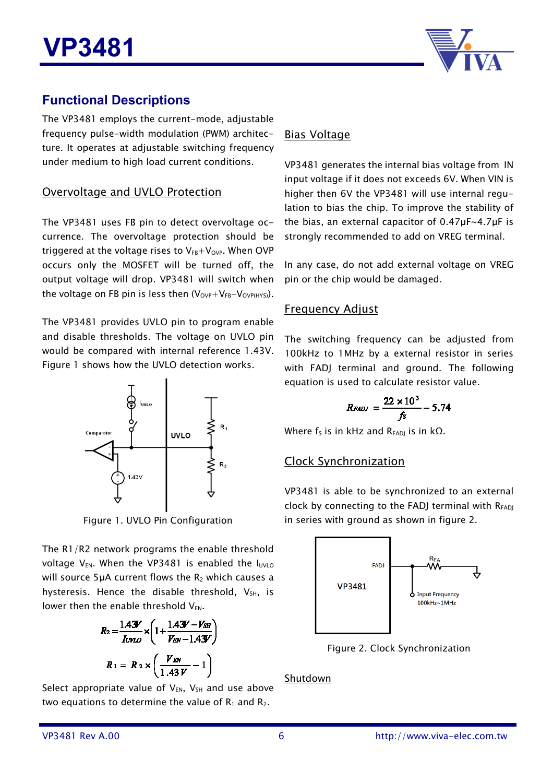

### **Functional Descriptions**

The VP3481 employs the current-mode, adjustable frequency pulse-width modulation (PWM) architecture. It operates at adjustable switching frequency under medium to high load current conditions.

#### Overvoltage and UVLO Protection

The VP3481 uses FB pin to detect overvoltage occurrence. The overvoltage protection should be triggered at the voltage rises to  $V_{FB}+V_{OVP}$ . When OVP occurs only the MOSFET will be turned off, the output voltage will drop. VP3481 will switch when the voltage on FB pin is less then  $(V_{OVP}+V_{FB}-V_{OVP(HYS)}).$ 

The VP3481 provides UVLO pin to program enable and disable thresholds. The voltage on UVLO pin would be compared with internal reference 1.43V. Figure 1 shows how the UVLO detection works.



Figure 1. UVLO Pin Configuration

The R1/R2 network programs the enable threshold voltage  $V_{EN}$ . When the VP3481 is enabled the  $I_{UVLO}$ will source 5µA current flows the  $R_2$  which causes a hysteresis. Hence the disable threshold,  $V_{SH}$ , is lower then the enable threshold  $V_{FN}$ .

$$
R_2 = \frac{1.43V}{I_{UVLO}} \times \left(1 + \frac{1.43V - V_{SH}}{V_{EN} - 1.43V}\right)
$$

$$
R_1 = R_2 \times \left(\frac{V_{EN}}{1.43V} - 1\right)
$$

Select appropriate value of  $V_{EN}$ ,  $V_{SH}$  and use above two equations to determine the value of  $R_1$  and  $R_2$ .

### Bias Voltage

VP3481 generates the internal bias voltage from IN input voltage if it does not exceeds 6V. When VIN is higher then 6V the VP3481 will use internal regulation to bias the chip. To improve the stability of the bias, an external capacitor of 0.47µF~4.7µF is strongly recommended to add on VREG terminal.

In any case, do not add external voltage on VREG pin or the chip would be damaged.

#### Frequency Adjust

The switching frequency can be adjusted from 100kHz to 1MHz by a external resistor in series with FADI terminal and ground. The following equation is used to calculate resistor value.

$$
R_{FADJ} = \frac{22 \times 10^3}{fs} - 5.74
$$

Where  $f_S$  is in kHz and R<sub>FADJ</sub> is in kΩ.

#### Clock Synchronization

VP3481 is able to be synchronized to an external clock by connecting to the FADJ terminal with  $R_{FADI}$ in series with ground as shown in figure 2.



Figure 2. Clock Synchronization

Shutdown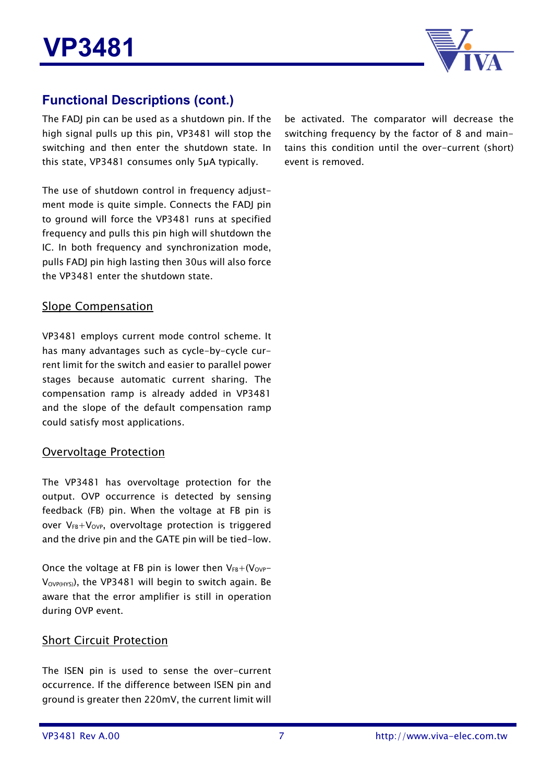

### **Functional Descriptions (cont.)**

The FADJ pin can be used as a shutdown pin. If the high signal pulls up this pin, VP3481 will stop the switching and then enter the shutdown state. In this state, VP3481 consumes only 5µA typically.

The use of shutdown control in frequency adjustment mode is quite simple. Connects the FADJ pin to ground will force the VP3481 runs at specified frequency and pulls this pin high will shutdown the IC. In both frequency and synchronization mode, pulls FADJ pin high lasting then 30us will also force the VP3481 enter the shutdown state.

#### Slope Compensation

VP3481 employs current mode control scheme. It has many advantages such as cycle-by-cycle current limit for the switch and easier to parallel power stages because automatic current sharing. The compensation ramp is already added in VP3481 and the slope of the default compensation ramp could satisfy most applications.

#### Overvoltage Protection

The VP3481 has overvoltage protection for the output. OVP occurrence is detected by sensing feedback (FB) pin. When the voltage at FB pin is over  $V_{FB}+V_{OVP}$ , overvoltage protection is triggered and the drive pin and the GATE pin will be tied-low.

Once the voltage at FB pin is lower then  $V_{FB}+(V_{OVP}-V_{FSE})$  $V_{\text{OVPHYS}}$ ), the VP3481 will begin to switch again. Be aware that the error amplifier is still in operation during OVP event.

#### Short Circuit Protection

The ISEN pin is used to sense the over-current occurrence. If the difference between ISEN pin and ground is greater then 220mV, the current limit will be activated. The comparator will decrease the switching frequency by the factor of 8 and maintains this condition until the over-current (short) event is removed.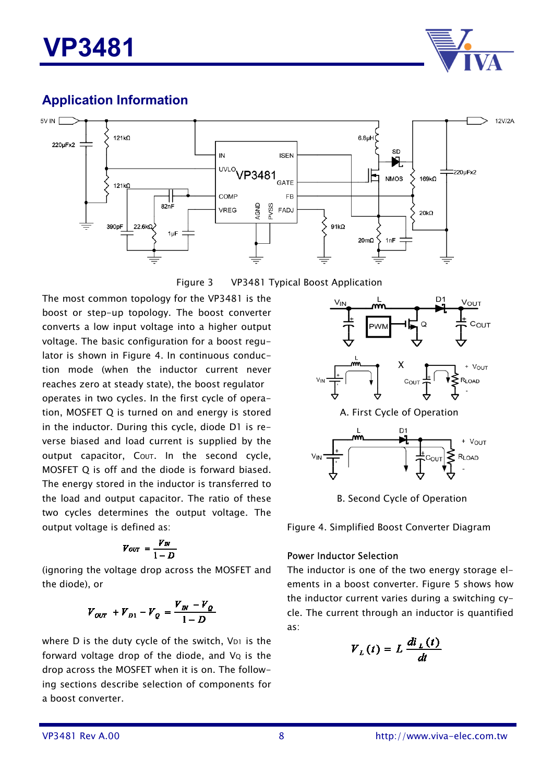

### **Application Information**





The most common topology for the VP3481 is the boost or step-up topology. The boost converter converts a low input voltage into a higher output voltage. The basic configuration for a boost regulator is shown in Figure 4. In continuous conduction mode (when the inductor current never reaches zero at steady state), the boost regulator operates in two cycles. In the first cycle of operation, MOSFET Q is turned on and energy is stored in the inductor. During this cycle, diode D1 is reverse biased and load current is supplied by the output capacitor, Cout. In the second cycle, MOSFET Q is off and the diode is forward biased. The energy stored in the inductor is transferred to the load and output capacitor. The ratio of these two cycles determines the output voltage. The output voltage is defined as:

$$
V_{OUT} = \frac{V_{IN}}{1-D}
$$

(ignoring the voltage drop across the MOSFET and the diode), or

$$
V_{OUT} + V_{D1} - V_Q = \frac{V_m - V_Q}{1 - D}
$$

where  $D$  is the duty cycle of the switch,  $V_{D1}$  is the forward voltage drop of the diode, and  $V_Q$  is the drop across the MOSFET when it is on. The following sections describe selection of components for a boost converter.



B. Second Cycle of Operation

Figure 4. Simplified Boost Converter Diagram

#### Power Inductor Selection

The inductor is one of the two energy storage elements in a boost converter. Figure 5 shows how the inductor current varies during a switching cycle. The current through an inductor is quantified as:

$$
V_{L}(t)=L\frac{di_{L}(t)}{dt}
$$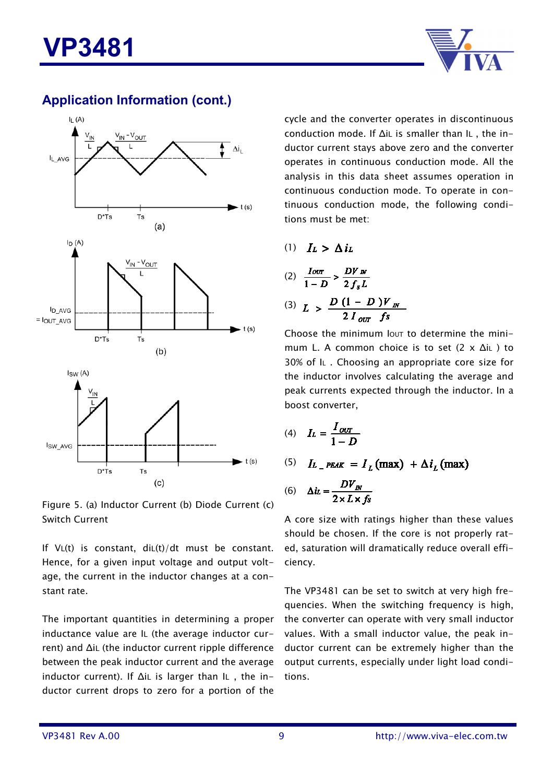



Figure 5. (a) Inductor Current (b) Diode Current (c) Switch Current

If  $V_L(t)$  is constant,  $diL(t)/dt$  must be constant. Hence, for a given input voltage and output voltage, the current in the inductor changes at a constant rate.

The important quantities in determining a proper inductance value are IL (the average inductor current) and ∆iL (the inductor current ripple difference between the peak inductor current and the average inductor current). If ∆iL is larger than IL , the inductor current drops to zero for a portion of the cycle and the converter operates in discontinuous conduction mode. If ∆iL is smaller than IL , the inductor current stays above zero and the converter operates in continuous conduction mode. All the analysis in this data sheet assumes operation in continuous conduction mode. To operate in continuous conduction mode, the following conditions must be met:

(1)  $I_L > \Delta i_L$ 

(2) 
$$
\frac{I_{OUT}}{1 - D} > \frac{DV_{N}}{2 f_{s} L}
$$
  
(3) 
$$
L > \frac{D (1 - D)V_{N}}{2 I_{OUT} f_{s}}
$$

Choose the minimum lout to determine the minimum L. A common choice is to set (2 x ∆iL ) to 30% of IL . Choosing an appropriate core size for the inductor involves calculating the average and peak currents expected through the inductor. In a boost converter,

$$
(4) \quad I_L = \frac{I_{\text{OUT}}}{1 - D}
$$

(5)  $I_{L}$   $_{PEAK}$  =  $I_{r}$  (max) +  $\Delta i_{r}$  (max)

$$
(6) \quad \Delta i_L = \frac{DV_m}{2 \times L \times fs}
$$

A core size with ratings higher than these values should be chosen. If the core is not properly rated, saturation will dramatically reduce overall efficiency.

The VP3481 can be set to switch at very high frequencies. When the switching frequency is high, the converter can operate with very small inductor values. With a small inductor value, the peak inductor current can be extremely higher than the output currents, especially under light load conditions.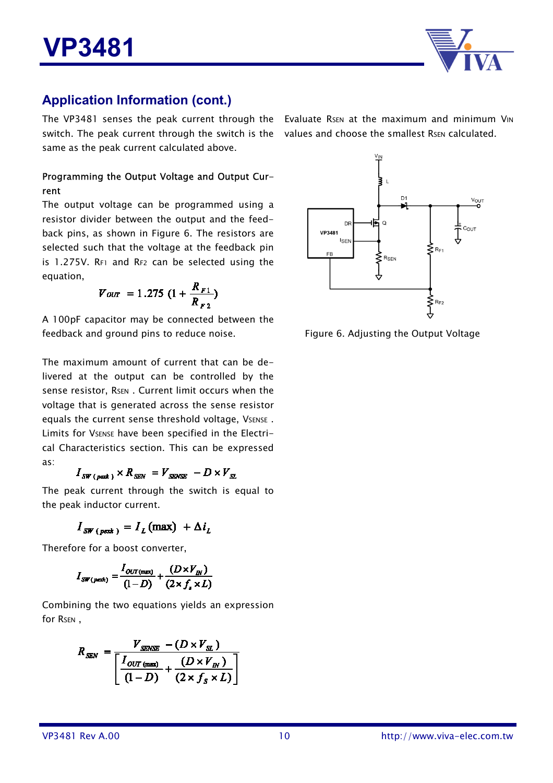

The VP3481 senses the peak current through the Evaluate RSEN at the maximum and minimum VIN switch. The peak current through the switch is the values and choose the smallest Rsen calculated. same as the peak current calculated above.

#### Programming the Output Voltage and Output Current

The output voltage can be programmed using a resistor divider between the output and the feedback pins, as shown in Figure 6. The resistors are selected such that the voltage at the feedback pin is 1.275V. RF1 and RF2 can be selected using the equation,

$$
V_{OUT} = 1.275 \ (1 + \frac{R_{F1}}{R_{F2}})
$$

A 100pF capacitor may be connected between the feedback and ground pins to reduce noise.

The maximum amount of current that can be delivered at the output can be controlled by the sense resistor, RSEN. Current limit occurs when the voltage that is generated across the sense resistor equals the current sense threshold voltage, VSENSE. Limits for VSENSE have been specified in the Electrical Characteristics section. This can be expressed as:

$$
I_{SW\ (peak)} \times R_{SEN} = V_{SENSE} - D \times V_{SI}
$$

The peak current through the switch is equal to the peak inductor current.

 $I_{SW (next)} = I_L$ (max) +  $\Delta i_L$ 

Therefore for a boost converter,

$$
I_{SW(pext)} = \frac{I_{OUT(mext)}}{(1-D)} + \frac{(D \times V_{IN})}{(2 \times f_s \times L)}
$$

Combining the two equations yields an expression for RsEN.

$$
R_{SEN} = \frac{V_{SENSE} - (D \times V_{SL})}{\left[\frac{I_{OUT \text{ (max)}}}{(1 - D)} + \frac{(D \times V_{IN})}{(2 \times f_S \times L)}\right]}
$$



Figure 6. Adjusting the Output Voltage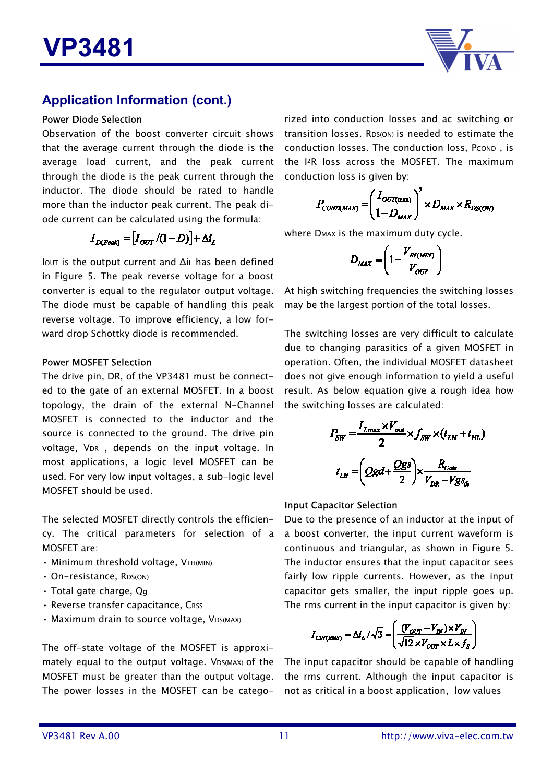

#### Power Diode Selection

Observation of the boost converter circuit shows that the average current through the diode is the average load current, and the peak current through the diode is the peak current through the inductor. The diode should be rated to handle more than the inductor peak current. The peak diode current can be calculated using the formula:

$$
I_{D(Peak)} = [I_{OUT}/(1-D)] + \Delta i_L
$$

IOUT is the output current and ∆iL has been defined in Figure 5. The peak reverse voltage for a boost converter is equal to the regulator output voltage. The diode must be capable of handling this peak reverse voltage. To improve efficiency, a low forward drop Schottky diode is recommended.

#### Power MOSFET Selection

The drive pin, DR, of the VP3481 must be connected to the gate of an external MOSFET. In a boost topology, the drain of the external N-Channel MOSFET is connected to the inductor and the source is connected to the ground. The drive pin voltage, VDR, depends on the input voltage. In most applications, a logic level MOSFET can be used. For very low input voltages, a sub-logic level MOSFET should be used.

The selected MOSFET directly controls the efficiency. The critical parameters for selection of a MOSFET are:

- Minimum threshold voltage, VTH(MIN)
- On-resistance, RDS(ON)
- Total gate charge, Qg
- Reverse transfer capacitance, CRSS
- Maximum drain to source voltage, VDS(MAX)

The off-state voltage of the MOSFET is approximately equal to the output voltage. VDS(MAX) of the MOSFET must be greater than the output voltage. The power losses in the MOSFET can be catego-

rized into conduction losses and ac switching or transition losses. RDS(ON) is needed to estimate the conduction losses. The conduction loss, PCOND, is the I2R loss across the MOSFET. The maximum conduction loss is given by:

$$
P_{COND(MAX)} = \left(\frac{I_{OUT(max)}}{1 - D_{MAX}}\right)^2 \times D_{MAX} \times R_{DS(ON)}
$$

where DMAX is the maximum duty cycle.

$$
D_{MAX} = \left(1 - \frac{V_{IN(MIN)}}{V_{OUT}}\right)
$$

At high switching frequencies the switching losses may be the largest portion of the total losses.

The switching losses are very difficult to calculate due to changing parasitics of a given MOSFET in operation. Often, the individual MOSFET datasheet does not give enough information to yield a useful result. As below equation give a rough idea how the switching losses are calculated:

$$
P_{SW} = \frac{I_{Lmax} \times V_{out}}{2} \times f_{SW} \times (t_{LH} + t_{HL})
$$

$$
t_{LH} = \left(Qgd + \frac{Qgs}{2}\right) \times \frac{R_{Gate}}{V_{DR} - Vgs_{th}}
$$

#### Input Capacitor Selection

Due to the presence of an inductor at the input of a boost converter, the input current waveform is continuous and triangular, as shown in Figure 5. The inductor ensures that the input capacitor sees fairly low ripple currents. However, as the input capacitor gets smaller, the input ripple goes up. The rms current in the input capacitor is given by:

$$
I_{\text{CIN(RMS)}} = \Delta i_L / \sqrt{3} = \left(\frac{(V_{\text{OUT}} - V_{\text{IN}}) \times V_{\text{IN}}}{\sqrt{12} \times V_{\text{OUT}} \times L \times f_{\text{S}}}\right)
$$

The input capacitor should be capable of handling the rms current. Although the input capacitor is not as critical in a boost application, low values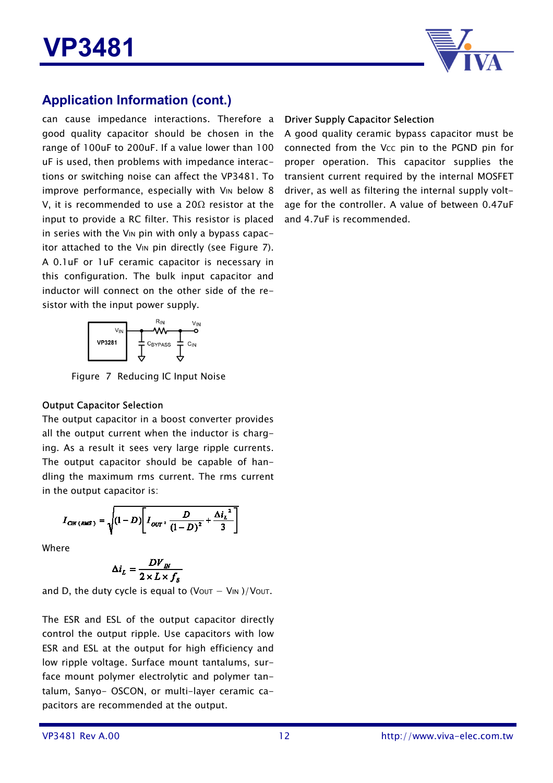

can cause impedance interactions. Therefore a good quality capacitor should be chosen in the range of 100uF to 200uF. If a value lower than 100 uF is used, then problems with impedance interactions or switching noise can affect the VP3481. To improve performance, especially with V<sub>IN</sub> below 8 V, it is recommended to use a 20 $\Omega$  resistor at the input to provide a RC filter. This resistor is placed in series with the V<sub>IN</sub> pin with only a bypass capacitor attached to the V<sub>IN</sub> pin directly (see Figure 7). A 0.1uF or 1uF ceramic capacitor is necessary in this configuration. The bulk input capacitor and inductor will connect on the other side of the resistor with the input power supply.



Figure 7 Reducing IC Input Noise

#### Output Capacitor Selection

The output capacitor in a boost converter provides all the output current when the inductor is charging. As a result it sees very large ripple currents. The output capacitor should be capable of handling the maximum rms current. The rms current in the output capacitor is:

$$
I_{CW (RMS)} = \sqrt{\left(1 - D\right)\left[I_{OUT^{2}}\frac{D}{\left(1 - D\right)^{2}} + \frac{\Delta i_{L}^{2}}{3}\right]}
$$

Where

$$
\Delta i_L = \frac{DV_m}{2 \times L \times f_s}
$$

and D, the duty cycle is equal to (Vout  $-$  VIN )/Vout.

The ESR and ESL of the output capacitor directly control the output ripple. Use capacitors with low ESR and ESL at the output for high efficiency and low ripple voltage. Surface mount tantalums, surface mount polymer electrolytic and polymer tantalum, Sanyo- OSCON, or multi-layer ceramic capacitors are recommended at the output.

#### Driver Supply Capacitor Selection

A good quality ceramic bypass capacitor must be connected from the Vcc pin to the PGND pin for proper operation. This capacitor supplies the transient current required by the internal MOSFET driver, as well as filtering the internal supply voltage for the controller. A value of between 0.47uF and 4.7uF is recommended.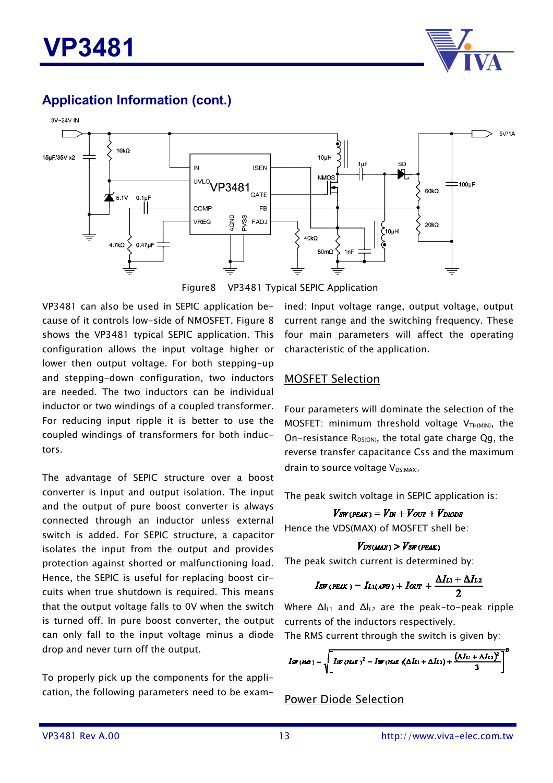



Figure8 VP3481 Typical SEPIC Application

VP3481 can also be used in SEPIC application because of it controls low-side of NMOSFET. Figure 8 shows the VP3481 typical SEPIC application. This configuration allows the input voltage higher or lower then output voltage. For both stepping-up and stepping-down configuration, two inductors are needed. The two inductors can be individual inductor or two windings of a coupled transformer. For reducing input ripple it is better to use the coupled windings of transformers for both inductors.

The advantage of SEPIC structure over a boost converter is input and output isolation. The input and the output of pure boost converter is always connected through an inductor unless external switch is added. For SEPIC structure, a capacitor isolates the input from the output and provides protection against shorted or malfunctioning load. Hence, the SEPIC is useful for replacing boost circuits when true shutdown is required. This means that the output voltage falls to 0V when the switch is turned off. In pure boost converter, the output can only fall to the input voltage minus a diode drop and never turn off the output.

To properly pick up the components for the application, the following parameters need to be examined: Input voltage range, output voltage, output current range and the switching frequency. These four main parameters will affect the operating characteristic of the application.

#### MOSFET Selection

Four parameters will dominate the selection of the MOSFET: minimum threshold voltage  $V_{TH(MIN)}$ , the On-resistance  $R_{DS(ON)}$ , the total gate charge Qg, the reverse transfer capacitance Css and the maximum drain to source voltage  $V_{DS(MAX)}$ .

The peak switch voltage in SEPIC application is:

 $V_{SW(PEAK)} = V_{IN} + V_{OUT} + V_{DIODE}$ Hence the VDS(MAX) of MOSFET shell be:

#### $V_{DS(MAX)} > V_{SW(PEAK)}$

The peak switch current is determined by:

$$
I_{\text{SW (PEAK)}} = I_{L1(AFG)} + I_{\text{OUT}} + \frac{\Delta I_{L1} + \Delta I_{L2}}{2}
$$

Where ΔI<sub>L1</sub> and ΔI<sub>L2</sub> are the peak-to-peak ripple currents of the inductors respectively. The RMS current through the switch is given by:

$$
I_{\text{SW (RMS)}} = \sqrt{\left[ \text{Im (PEAK)}^2 - \text{Im (PEAK)} (\Delta L_{11} + \Delta L_{12}) + \frac{(\Delta L_{11} + \Delta L_{22})^2}{3} \right]}
$$

Power Diode Selection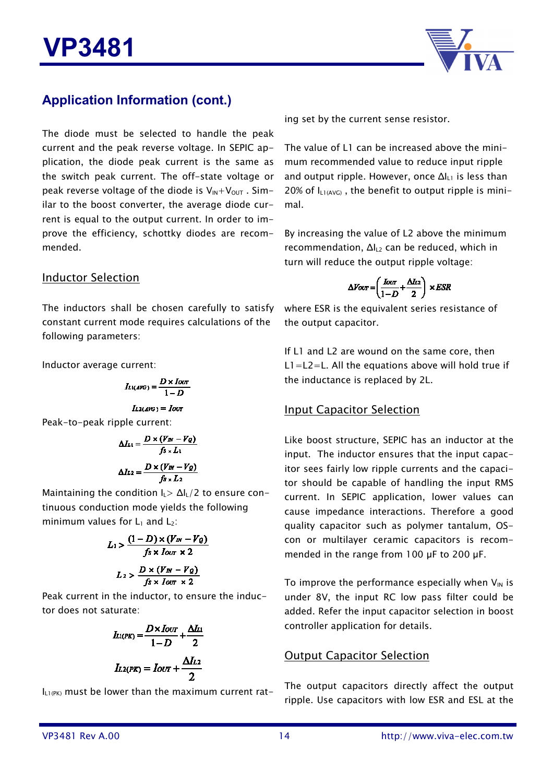

The diode must be selected to handle the peak current and the peak reverse voltage. In SEPIC application, the diode peak current is the same as the switch peak current. The off-state voltage or peak reverse voltage of the diode is  $V_{\text{IN}}+V_{\text{OUT}}$ . Similar to the boost converter, the average diode current is equal to the output current. In order to improve the efficiency, schottky diodes are recommended.

#### Inductor Selection

The inductors shall be chosen carefully to satisfy constant current mode requires calculations of the following parameters:

Inductor average current:

$$
I_{L1(AVG)} = \frac{D \times I_{OUT}}{1 - D}
$$

$$
I_{L2(AVG)}=I_{OU}
$$

Peak-to-peak ripple current:

$$
\Delta L_1 = \frac{D \times (V_W - V_Q)}{f_S \times L_1}
$$

$$
\Delta L_2 = \frac{D \times (V_W - V_Q)}{f_S \times L_2}
$$

Maintaining the condition  $I_L > \Delta I_L/2$  to ensure continuous conduction mode yields the following minimum values for  $L_1$  and  $L_2$ :

$$
L_1 > \frac{(1-D)\times (V_W - V_Q)}{fs \times I_{OUT} \times 2}
$$

$$
L_2 > \frac{D \times (V_W - V_Q)}{fs \times I_{OUT} \times 2}
$$

Peak current in the inductor, to ensure the inductor does not saturate:

$$
I_{L1(PK)} = \frac{D \times I_{OUT}}{1 - D} + \frac{\Delta I_{L1}}{2}
$$

$$
I_{L2(PK)} = I_{OUT} + \frac{\Delta I_{L2}}{2}
$$

 $I_{L1(PK)}$  must be lower than the maximum current rat-

ing set by the current sense resistor.

The value of L1 can be increased above the minimum recommended value to reduce input ripple and output ripple. However, once ∆I<sub>L1</sub> is less than 20% of  $I_{11(AVG)}$ , the benefit to output ripple is minimal.

By increasing the value of L2 above the minimum recommendation,  $\Delta I_{L2}$  can be reduced, which in turn will reduce the output ripple voltage:

$$
\Delta V_{OUT} = \left(\frac{I_{OUT}}{1-D} + \frac{\Delta I_{L2}}{2}\right) \times ESR
$$

where ESR is the equivalent series resistance of the output capacitor.

If L1 and L2 are wound on the same core, then  $L1 = L2 = L$ . All the equations above will hold true if the inductance is replaced by 2L.

#### Input Capacitor Selection

Like boost structure, SEPIC has an inductor at the input. The inductor ensures that the input capacitor sees fairly low ripple currents and the capacitor should be capable of handling the input RMS current. In SEPIC application, lower values can cause impedance interactions. Therefore a good quality capacitor such as polymer tantalum, OScon or multilayer ceramic capacitors is recommended in the range from 100  $\mu$ F to 200  $\mu$ F.

To improve the performance especially when  $V_{IN}$  is under 8V, the input RC low pass filter could be added. Refer the input capacitor selection in boost controller application for details.

#### Output Capacitor Selection

The output capacitors directly affect the output ripple. Use capacitors with low ESR and ESL at the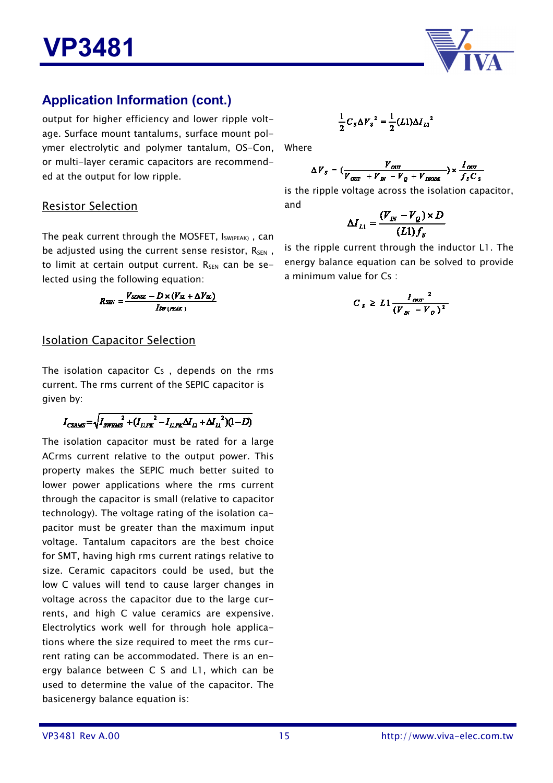

output for higher efficiency and lower ripple voltage. Surface mount tantalums, surface mount polymer electrolytic and polymer tantalum, OS-Con, or multi-layer ceramic capacitors are recommended at the output for low ripple.

#### Resistor Selection

The peak current through the MOSFET, ISW(PEAK), can be adjusted using the current sense resistor,  $R_{SEN}$ , to limit at certain output current.  $R_{SEN}$  can be selected using the following equation:

$$
R_{SEN} = \frac{V_{SENSE} - D \times (V_{SL} + \Delta V_{SL})}{I_{SW(PEAK)}}
$$

#### Isolation Capacitor Selection

The isolation capacitor Cs, depends on the rms current. The rms current of the SEPIC capacitor is given by:

$$
I_{CSRMS} = \sqrt{I_{SVRMS}^2 + (I_{LIFK}^2 - I_{LIFK} \Delta I_{L1} + {\Delta I_{L1}}^2)(1 - D)}
$$

The isolation capacitor must be rated for a large ACrms current relative to the output power. This property makes the SEPIC much better suited to lower power applications where the rms current through the capacitor is small (relative to capacitor technology). The voltage rating of the isolation capacitor must be greater than the maximum input voltage. Tantalum capacitors are the best choice for SMT, having high rms current ratings relative to size. Ceramic capacitors could be used, but the low C values will tend to cause larger changes in voltage across the capacitor due to the large currents, and high C value ceramics are expensive. Electrolytics work well for through hole applications where the size required to meet the rms current rating can be accommodated. There is an energy balance between C S and L1, which can be used to determine the value of the capacitor. The basicenergy balance equation is:

$$
\frac{1}{2}C_{S}\Delta V_{S}^{2}=\frac{1}{2}(L1)\Delta I_{L1}^{2}
$$

Where

$$
\Delta V_s = (\frac{V_{out}}{V_{out} + V_{in} - V_Q + V_{noDE}}) \times \frac{I_{out}}{f_s C_s}
$$

is the ripple voltage across the isolation capacitor, and

$$
\Delta I_{L1} = \frac{(V_{I\!N} - V_{Q}) \times D}{(L1) f_{s}}
$$

is the ripple current through the inductor L1. The energy balance equation can be solved to provide a minimum value for Cs :

$$
C_s \geq L1 \frac{I_{\text{corr}}^2}{(V_{\text{av}} - V_o)^2}
$$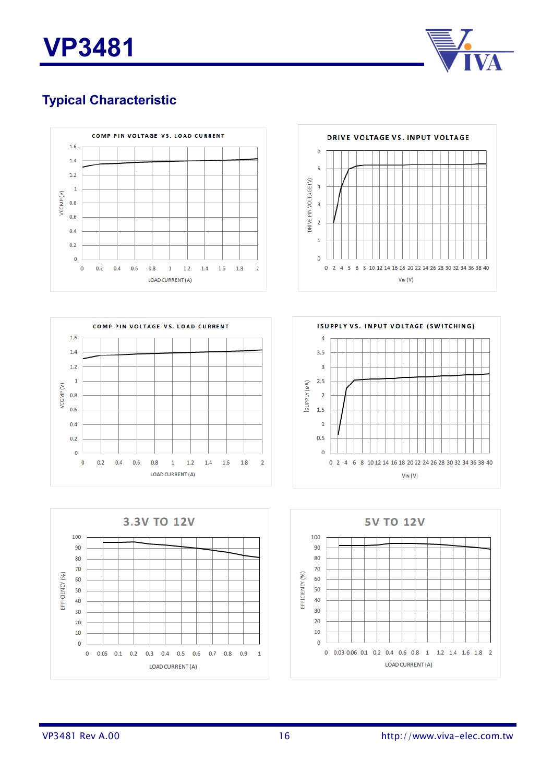



## **Typical Characteristic**





![](_page_15_Figure_5.jpeg)

![](_page_15_Figure_6.jpeg)

![](_page_15_Figure_7.jpeg)

![](_page_15_Figure_8.jpeg)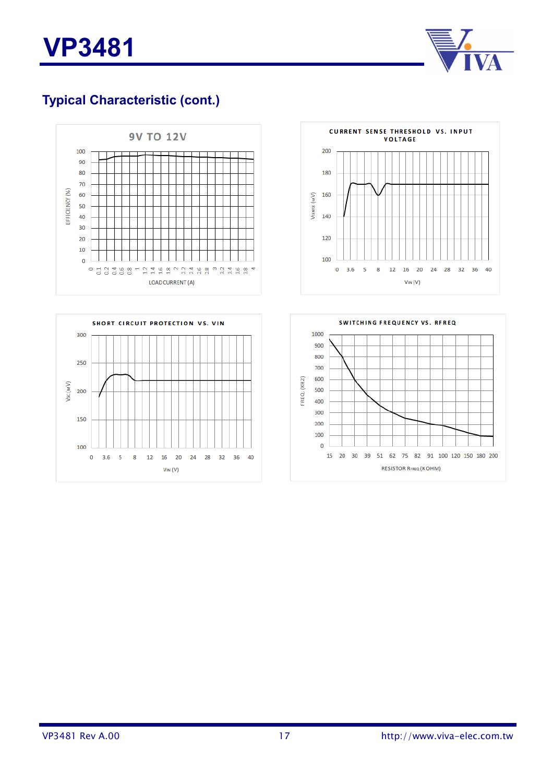![](_page_16_Picture_0.jpeg)

![](_page_16_Picture_1.jpeg)

## **Typical Characteristic (cont.)**

![](_page_16_Figure_3.jpeg)

![](_page_16_Figure_4.jpeg)

![](_page_16_Figure_5.jpeg)

![](_page_16_Figure_6.jpeg)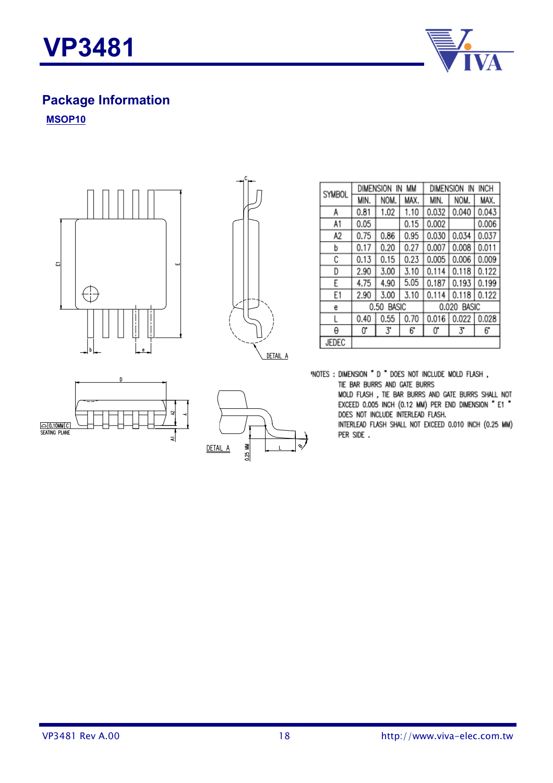![](_page_17_Picture_0.jpeg)

![](_page_17_Picture_1.jpeg)

# **Package Information**

**MSOP10**

![](_page_17_Picture_4.jpeg)

![](_page_17_Figure_5.jpeg)

| SYMBOL | <b>DIMENSION</b>     | IN   | MМ   | <b>INCH</b><br><b>DIMENSION</b><br>ΙN |       |       |  |
|--------|----------------------|------|------|---------------------------------------|-------|-------|--|
|        | MIN.                 | NOM. | MAX. | MIN.                                  | NOM.  | MAX.  |  |
| A      | 0.81                 | 1.02 | 1.10 | 0.032                                 | 0.040 | 0.043 |  |
| A1     | 0.05                 |      | 0.15 | 0.002                                 |       | 0.006 |  |
| A2     | 0.75                 | 0.86 | 0.95 | 0.030                                 | 0.034 | 0.037 |  |
| b      | 0.17                 | 0.20 | 0.27 | 0.007                                 | 0.008 | 0.011 |  |
| С      | 0.13                 | 0.15 | 0.23 | 0.005                                 | 0.006 | 0.009 |  |
| D      | 2.90                 | 3.00 | 3.10 | 0.114                                 | 0.118 | 0.122 |  |
| F      | 4.75                 | 4.90 | 5.05 | 0.187                                 | 0.193 | 0.199 |  |
| E1     | 2.90                 | 3.00 | 3.10 | 0.1<br>4                              | 0.118 | 0.122 |  |
| e      | 0.50<br><b>BASIC</b> |      |      | BASIC<br>0.020                        |       |       |  |
| L      | 0.40                 | 0.55 | 0.70 | 0.016                                 | 0.022 | 0.028 |  |
| θ      | 0.                   | 3.   | 6.   | 0.                                    | 3*    | 6*    |  |
| JEDEC  |                      |      |      |                                       |       |       |  |

"NOTES : DIMENSION " D " DOES NOT INCLUDE MOLD FLASH,

TIE BAR BURRS AND GATE BURRS

MOLD FLASH, TIE BAR BURRS AND GATE BURRS SHALL NOT EXCEED 0.005 INCH (0.12 MM) PER END DIMENSION " E1 " DOES NOT INCLUDE INTERLEAD FLASH.

INTERLEAD FLASH SHALL NOT EXCEED 0.010 INCH (0.25 MM) PER SIDE.

![](_page_17_Figure_11.jpeg)

0.25 MM DETAIL A